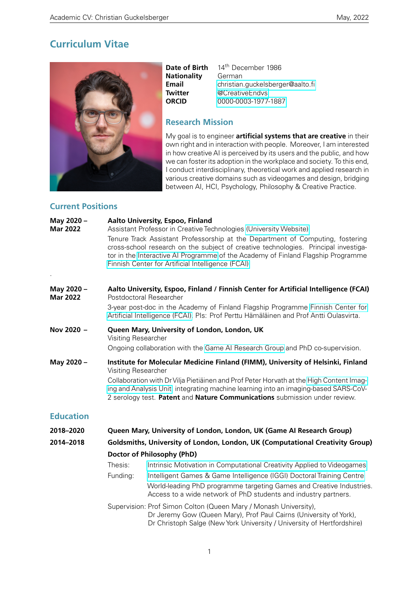## **Curriculum Vitae**



**Nationality**<br>**Email** 

**Date of Birth** 14<sup>th</sup> December 1986<br>**Nationality** German **Email** [christian.guckelsberger@aalto.fi](mailto:christian.guckelsberger@aalto.fi)<br> **Twitter** @CreativeEndys **Twitter** [@CreativeEndvs](https://twitter.com/creativeendvs?lang=en)<br>**ORCID** 0000-0003-1977 **ORCID** [0000-0003-1977-1887](https://orcid.org/0000-0003-1977-1887)

## **Research Mission**

My goal is to engineer **artificial systems that are creative** in their own right and in interaction with people. Moreover, I am interested in how creative AI is perceived by its users and the public, and how we can foster its adoption in the workplace and society. To this end, I conduct interdisciplinary, theoretical work and applied research in various creative domains such as videogames and design, bridging between AI, HCI, Psychology, Philosophy & Creative Practice.

#### **Current Positions**

| May 2020 -<br><b>Mar 2022</b> |                                                                                                                                                                                                                                                                                                                                                                         | Aalto University, Espoo, Finland<br>Assistant Professor in Creative Technologies (University Website)<br>Tenure Track Assistant Professorship at the Department of Computing, fostering<br>cross-school research on the subject of creative technologies. Principal investiga-<br>tor in the Interactive AI Programme of the Academy of Finland Flagship Programme<br>Finnish Center for Artificial Intelligence (FCAI) |
|-------------------------------|-------------------------------------------------------------------------------------------------------------------------------------------------------------------------------------------------------------------------------------------------------------------------------------------------------------------------------------------------------------------------|-------------------------------------------------------------------------------------------------------------------------------------------------------------------------------------------------------------------------------------------------------------------------------------------------------------------------------------------------------------------------------------------------------------------------|
| May 2020 -<br><b>Mar 2022</b> |                                                                                                                                                                                                                                                                                                                                                                         | Aalto University, Espoo, Finland / Finnish Center for Artificial Intelligence (FCAI)<br>Postdoctoral Researcher<br>3-year post-doc in the Academy of Finland Flagship Programme Finnish Center for<br>Artificial Intelligence (FCAI). Pls: Prof Perttu Hämäläinen and Prof Antti Oulasvirta.                                                                                                                            |
| Nov 2020 -                    | Visiting Researcher                                                                                                                                                                                                                                                                                                                                                     | Queen Mary, University of London, London, UK<br>Ongoing collaboration with the Game AI Research Group and PhD co-supervision.                                                                                                                                                                                                                                                                                           |
| May 2020 -                    | Institute for Molecular Medicine Finland (FIMM), University of Helsinki, Finland<br>Visiting Researcher<br>Collaboration with Dr Vilja Pietiäinen and Prof Peter Horvath at the High Content Imag-<br>ing and Analysis Unit, integrating machine learning into an imaging-based SARS-CoV-<br>2 serology test. Patent and Nature Communications submission under review. |                                                                                                                                                                                                                                                                                                                                                                                                                         |
| <b>Education</b>              |                                                                                                                                                                                                                                                                                                                                                                         |                                                                                                                                                                                                                                                                                                                                                                                                                         |
| 2018-2020                     |                                                                                                                                                                                                                                                                                                                                                                         | Queen Mary, University of London, London, UK (Game AI Research Group)                                                                                                                                                                                                                                                                                                                                                   |
| 2014-2018                     |                                                                                                                                                                                                                                                                                                                                                                         | Goldsmiths, University of London, London, UK (Computational Creativity Group)                                                                                                                                                                                                                                                                                                                                           |
|                               |                                                                                                                                                                                                                                                                                                                                                                         | Doctor of Philosophy (PhD)                                                                                                                                                                                                                                                                                                                                                                                              |
|                               | Thesis:                                                                                                                                                                                                                                                                                                                                                                 | Intrinsic Motivation in Computational Creativity Applied to Videogames                                                                                                                                                                                                                                                                                                                                                  |
|                               | Funding:                                                                                                                                                                                                                                                                                                                                                                | Intelligent Games & Game Intelligence (IGGI) Doctoral Training Centre                                                                                                                                                                                                                                                                                                                                                   |
|                               |                                                                                                                                                                                                                                                                                                                                                                         | World-leading PhD programme targeting Games and Creative Industries.<br>Access to a wide network of PhD students and industry partners.                                                                                                                                                                                                                                                                                 |
|                               |                                                                                                                                                                                                                                                                                                                                                                         | Supervision: Prof Simon Colton (Queen Mary / Monash University),<br>Dr Jeremy Gow (Queen Mary), Prof Paul Cairns (University of York),<br>Dr Christoph Salge (New York University / University of Hertfordshire)                                                                                                                                                                                                        |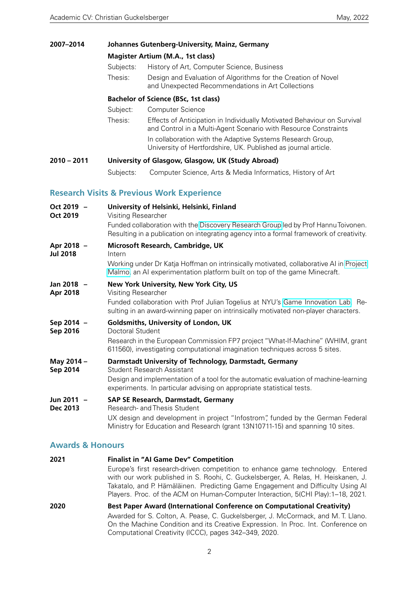| 2007-2014                     | Johannes Gutenberg-University, Mainz, Germany |                                                                                                                                                                                                    |  |  |  |  |
|-------------------------------|-----------------------------------------------|----------------------------------------------------------------------------------------------------------------------------------------------------------------------------------------------------|--|--|--|--|
|                               | <b>Magister Artium (M.A., 1st class)</b>      |                                                                                                                                                                                                    |  |  |  |  |
|                               | Subjects:                                     | History of Art, Computer Science, Business                                                                                                                                                         |  |  |  |  |
|                               | Thesis:                                       | Design and Evaluation of Algorithms for the Creation of Novel<br>and Unexpected Recommendations in Art Collections                                                                                 |  |  |  |  |
|                               | <b>Bachelor of Science (BSc, 1st class)</b>   |                                                                                                                                                                                                    |  |  |  |  |
|                               | Subject:                                      | <b>Computer Science</b>                                                                                                                                                                            |  |  |  |  |
|                               | Thesis:                                       | Effects of Anticipation in Individually Motivated Behaviour on Survival<br>and Control in a Multi-Agent Scenario with Resource Constraints                                                         |  |  |  |  |
|                               |                                               | In collaboration with the Adaptive Systems Research Group,<br>University of Hertfordshire, UK. Published as journal article.                                                                       |  |  |  |  |
| $2010 - 2011$                 |                                               | University of Glasgow, Glasgow, UK (Study Abroad)                                                                                                                                                  |  |  |  |  |
|                               | Subjects:                                     | Computer Science, Arts & Media Informatics, History of Art                                                                                                                                         |  |  |  |  |
|                               |                                               | <b>Research Visits &amp; Previous Work Experience</b>                                                                                                                                              |  |  |  |  |
| Oct 2019 -                    | University of Helsinki, Helsinki, Finland     |                                                                                                                                                                                                    |  |  |  |  |
| <b>Oct 2019</b>               | Visiting Researcher                           |                                                                                                                                                                                                    |  |  |  |  |
|                               |                                               | Funded collaboration with the Discovery Research Group led by Prof Hannu Toivonen.<br>Resulting in a publication on integrating agency into a formal framework of creativity.                      |  |  |  |  |
| Apr 2018 -<br><b>Jul 2018</b> | Microsoft Research, Cambridge, UK<br>Intern   |                                                                                                                                                                                                    |  |  |  |  |
|                               |                                               | Working under Dr Katja Hoffman on intrinsically motivated, collaborative AI in Project<br>Malmo, an Al experimentation platform built on top of the game Minecraft.                                |  |  |  |  |
| Jan 2018 -                    |                                               | New York University, New York City, US                                                                                                                                                             |  |  |  |  |
| <b>Apr 2018</b>               | Visiting Researcher                           |                                                                                                                                                                                                    |  |  |  |  |
|                               |                                               | Funded collaboration with Prof Julian Togelius at NYU's Game Innovation Lab. Re-<br>sulting in an award-winning paper on intrinsically motivated non-player characters.                            |  |  |  |  |
| Sep 2014 -<br>Sep 2016        | Doctoral Student                              | Goldsmiths, University of London, UK                                                                                                                                                               |  |  |  |  |
|                               |                                               | Research in the European Commission FP7 project "What-If-Machine" (WHIM, grant<br>611560), investigating computational imagination techniques across 5 sites.                                      |  |  |  |  |
| May 2014 -                    |                                               | Darmstadt University of Technology, Darmstadt, Germany                                                                                                                                             |  |  |  |  |
| Sep 2014                      |                                               | <b>Student Research Assistant</b><br>Design and implementation of a tool for the automatic evaluation of machine-learning<br>experiments. In particular advising on appropriate statistical tests. |  |  |  |  |

# **Jun 2011 – SAP SE Research, Darmstadt, Germany**<br>**Dec 2013** Research- and Thesis Student

Research- and Thesis Student UX design and development in project "Infostrom", funded by the German Federal Ministry for Education and Research (grant 13N10711-15) and spanning 10 sites.

#### **Awards & Honours**

| 2021 | <b>Finalist in "AI Game Dev" Competition</b>                                                                                                                                                                                                                                                                                                |  |  |  |  |  |
|------|---------------------------------------------------------------------------------------------------------------------------------------------------------------------------------------------------------------------------------------------------------------------------------------------------------------------------------------------|--|--|--|--|--|
|      | Europe's first research-driven competition to enhance game technology. Entered<br>with our work published in S. Roohi, C. Guckelsberger, A. Relas, H. Heiskanen, J.<br>Takatalo, and P. Hämäläinen. Predicting Game Engagement and Difficulty Using Al<br>Players. Proc. of the ACM on Human-Computer Interaction, 5(CHI Play): 1–18, 2021. |  |  |  |  |  |
| 2020 | Best Paper Award (International Conference on Computational Creativity)                                                                                                                                                                                                                                                                     |  |  |  |  |  |
|      | Awarded for S. Colton, A. Pease, C. Guckelsberger, J. McCormack, and M. T. Llano.<br>On the Machine Condition and its Creative Expression. In Proc. Int. Conference on<br>Computational Creativity (ICCC), pages 342-349, 2020.                                                                                                             |  |  |  |  |  |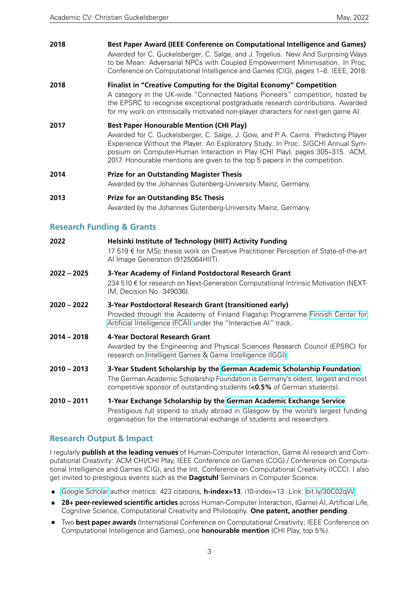**2018 Best Paper Award (IEEE Conference on Computational Intelligence and Games)** Awarded for C. Guckelsberger, C. Salge, and J. Togelius. New And Surprising Ways to be Mean: Adversarial NPCs with Coupled Empowerment Minimisation. In Proc. Conference on Computational Intelligence and Games (CIG), pages 1–8. IEEE, 2018. **2018 Finalist in "Creative Computing for the Digital Economy" Competition** A category in the UK-wide "Connected Nations Pioneers" competition, hosted by the EPSRC to recognise exceptional postgraduate research contributions. Awarded for my work on intrinsically motivated non-player characters for next-gen game AI. **2017 Best Paper Honourable Mention (CHI Play)**

Awarded for C. Guckelsberger, C. Salge, J. Gow, and P. A. Cairns. Predicting Player Experience Without the Player. An Exploratory Study. In Proc. SIGCHI Annual Symposium on Computer-Human Interaction in Play (CHI Play), pages 305–315. ACM, 2017. Honourable mentions are given to the top 5 papers in the competition.

- **2014 Prize for an Outstanding Magister Thesis** Awarded by the Johannes Gutenberg-University Mainz, Germany.
- **2013 Prize for an Outstanding BSc Thesis** Awarded by the Johannes Gutenberg-University Mainz, Germany.

#### **Research Funding & Grants**

- **2022 Helsinki Institute of Technology (HIIT) Activity Funding** 17 519 € for MSc thesis work on Creative Practitioner Perception of State-of-the-art AI Image Generation (9125064HIIT). **2022 – 2025 3-Year Academy of Finland Postdoctoral Research Grant** 234 510 € for research on Next-Generation Computational Intrinsic Motivation (NEXT-
- IM, Decision No. 349036). **2020 – 2022 3-Year Postdoctoral Research Grant (transitioned early)** Provided through the Academy of Finland Flagship Programme [Finnish Center for](http://www.fcai.fi) [Artificial Intelligence \(FCAI\)](http://www.fcai.fi) under the "Interactive AI" track.
- **2014 2018 4-Year Doctoral Research Grant** Awarded by the Engineering and Physical Sciences Research Council (EPSRC) for research on [Intelligent Games & Game Intelligence \(IGGI\).](http://www.iggi.org.uk)
- **2010 2013 3-Year Student Scholarship by the [German Academic Scholarship Foundation](https://www.studienstiftung.de/en/)** The German Academic Scholarship Foundation is Germany's oldest, largest and most competitive sponsor of outstanding students (**<0.5%** of German students).

**2010 – 2011 1-Year Exchange Scholarship by the [German Academic Exchange Service](https://www.daad.de/en/)** Prestigious full stipend to study abroad in Glasgow by the world's largest funding organisation for the international exchange of students and researchers.

## **Research Output & Impact**

I regularly **publish at the leading venues** of Human-Computer Interaction, Game AI research and Computational Creativity: ACM CHI/CHI Play, IEEE Conference on Games (COG) / Conference on Computational Intelligence and Games (CIG), and the Int. Conference on Computational Creativity (ICCC). I also get invited to prestigious events such as the **Dagstuhl** Seminars in Computer Science.

- [Google Scholar](https://scholar.google.com/citations?user=tRV5TQkAAAAJ&hl=en&oi=sra) author metrics: 423 citations, h-index=13, i10-index=13. Link: [bit.ly/30C02qW.](http://bit.ly/30C02qW)
- **28+ peer-reviewed scientific articles** across Human-Computer Interaction, (Game) AI, Artificial Life, Cognitive Science, Computational Creativity and Philosophy. **One patent, another pending**.
- **Two best paper awards** (International Conference on Computational Creativity; IEEE Conference on Computational Intelligence and Games), one **honourable mention** (CHI Play, top 5%).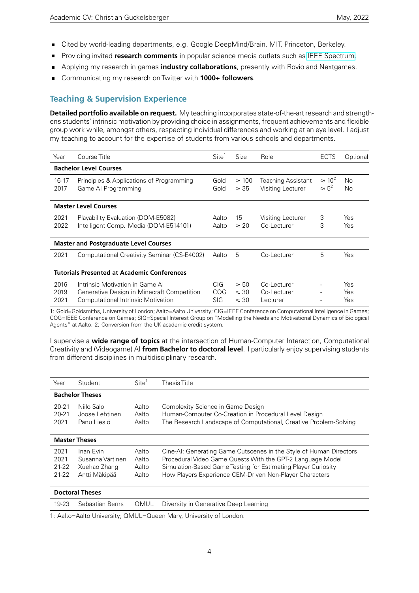- Cited by world-leading departments, e.g. Google DeepMind/Brain, MIT, Princeton, Berkeley.
- **Providing invited research comments** in popular science media outlets such as [IEEE Spectrum.](https://spectrum.ieee.org/tech-talk/computing/software/deepmind-teaches-ai-teamwork)
- Applying my research in games **industry collaborations**, presently with Rovio and Nextgames.
- Communicating my research on Twitter with **1000+ followers**.

## **Teaching & Supervision Experience**

**Detailed portfolio available on request.** My teaching incorporates state-of-the-art research and strengthens students' intrinsic motivation by providing choice in assignments, frequent achievements and flexible group work while, amongst others, respecting individual differences and working at an eye level. I adjust my teaching to account for the expertise of students from various schools and departments.

| Year                 | Course Title                                                                                                               | Site <sup>1</sup>                | Size                                         | Role                                    | <b>ECTS</b>                     | Optional                    |
|----------------------|----------------------------------------------------------------------------------------------------------------------------|----------------------------------|----------------------------------------------|-----------------------------------------|---------------------------------|-----------------------------|
|                      | <b>Bachelor Level Courses</b>                                                                                              |                                  |                                              |                                         |                                 |                             |
| $16 - 17$<br>2017    | Principles & Applications of Programming<br>Game Al Programming                                                            | Gold<br>Gold                     | $\approx$ 100<br>$\approx$ 35                | Teaching Assistant<br>Visiting Lecturer | $\approx 10^2$<br>$\approx 5^2$ | N <sub>o</sub><br><b>No</b> |
|                      | <b>Master Level Courses</b>                                                                                                |                                  |                                              |                                         |                                 |                             |
| 2021<br>2022         | Playability Evaluation (DOM-E5082)<br>Intelligent Comp. Media (DOM-E514101)                                                | Aalto<br>Aalto                   | 15<br>$\approx$ 20                           | Visiting Lecturer<br>Co-Lecturer        | 3<br>3                          | Yes<br>Yes                  |
|                      | <b>Master and Postgraduate Level Courses</b>                                                                               |                                  |                                              |                                         |                                 |                             |
| 2021                 | Computational Creativity Seminar (CS-E4002)                                                                                | Aalto                            | 5                                            | Co-Lecturer                             | 5                               | Yes                         |
|                      | <b>Tutorials Presented at Academic Conferences</b>                                                                         |                                  |                                              |                                         |                                 |                             |
| 2016<br>2019<br>2021 | Intrinsic Motivation in Game Al<br>Generative Design in Minecraft Competition<br><b>Computational Intrinsic Motivation</b> | CIG.<br><b>COG</b><br><b>SIG</b> | $\approx 50$<br>$\approx$ 30<br>$\approx$ 30 | Co-Lecturer<br>Co-Lecturer<br>Lecturer  |                                 | Yes<br>Yes<br>Yes           |

1: Gold=Goldsmiths, University of London; Aalto=Aalto University; CIG=IEEE Conference on Computational Intelligence in Games; COG=IEEE Conference on Games; SIG=Special Interest Group on "Modelling the Needs and Motivational Dynamics of Biological Agents" at Aalto. 2: Conversion from the UK academic credit system.

I supervise a **wide range of topics** at the intersection of Human-Computer Interaction, Computational Creativity and (Videogame) AI **from Bachelor to doctoral level**. I particularly enjoy supervising students from different disciplines in multidisciplinary research.

| Year                                   | Student                                                        | Site <sup>1</sup>                | Thesis Title                                                                                                                                                                                                                                                 |
|----------------------------------------|----------------------------------------------------------------|----------------------------------|--------------------------------------------------------------------------------------------------------------------------------------------------------------------------------------------------------------------------------------------------------------|
|                                        | <b>Bachelor Theses</b>                                         |                                  |                                                                                                                                                                                                                                                              |
| $20 - 21$<br>$20 - 21$<br>2021         | Niilo Salo<br>Joose Lehtinen<br>Panu Liesiö                    | Aalto<br>Aalto<br>Aalto          | Complexity Science in Game Design<br>Human-Computer Co-Creation in Procedural Level Design<br>The Research Landscape of Computational, Creative Problem-Solving                                                                                              |
| <b>Master Theses</b>                   |                                                                |                                  |                                                                                                                                                                                                                                                              |
| 2021<br>2021<br>$21 - 22$<br>$21 - 22$ | Inan Fvin<br>Susanna Värtinen<br>Xuehao Zhang<br>Antti Mäkipää | Aalto<br>Aalto<br>Aalto<br>Aalto | Cine-AI: Generating Game Cutscenes in the Style of Human Directors<br>Procedural Video Game Quests With the GPT-2 Language Model<br>Simulation-Based Game Testing for Estimating Player Curiosity<br>How Players Experience CEM-Driven Non-Player Characters |
|                                        | <b>Doctoral Thorpr</b>                                         |                                  |                                                                                                                                                                                                                                                              |

| Poctoral ineses |  |  |                                                                    |  |
|-----------------|--|--|--------------------------------------------------------------------|--|
|                 |  |  | 19-23 Sebastian Berns  QMUL  Diversity in Generative Deep Learning |  |

1: Aalto=Aalto University; QMUL=Queen Mary, University of London.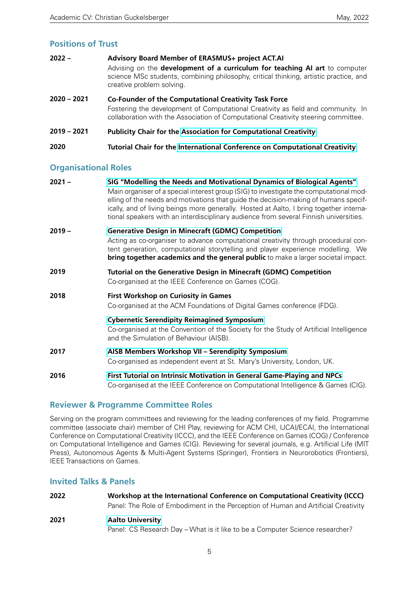## **Positions of Trust**

| $2022 -$      | Advisory Board Member of ERASMUS+ project ACT.AI<br>Advising on the development of a curriculum for teaching AI art to computer<br>science MSc students, combining philosophy, critical thinking, artistic practice, and<br>creative problem solving. |
|---------------|-------------------------------------------------------------------------------------------------------------------------------------------------------------------------------------------------------------------------------------------------------|
| $2020 - 2021$ | Co-Founder of the Computational Creativity Task Force<br>Fostering the development of Computational Creativity as field and community. In<br>collaboration with the Association of Computational Creativity steering committee.                       |
| $2019 - 2021$ | <b>Publicity Chair for the Association for Computational Creativity</b>                                                                                                                                                                               |
| 2020          | Tutorial Chair for the International Conference on Computational Creativity                                                                                                                                                                           |

## **Organisational Roles**

| $2021 -$ | SIG "Modelling the Needs and Motivational Dynamics of Biological Agents"                                                                                                                                                                                                                                                                                           |
|----------|--------------------------------------------------------------------------------------------------------------------------------------------------------------------------------------------------------------------------------------------------------------------------------------------------------------------------------------------------------------------|
|          | Main organiser of a special interest group (SIG) to investigate the computational mod-<br>elling of the needs and motivations that guide the decision-making of humans specif-<br>ically, and of living beings more generally. Hosted at Aalto, I bring together interna-<br>tional speakers with an interdisciplinary audience from several Finnish universities. |
| $2019 -$ | <b>Generative Design in Minecraft (GDMC) Competition</b>                                                                                                                                                                                                                                                                                                           |
|          | Acting as co-organiser to advance computational creativity through procedural con-<br>tent generation, computational storytelling and player experience modelling. We<br>bring together academics and the general public to make a larger societal impact.                                                                                                         |
| 2019     | Tutorial on the Generative Design in Minecraft (GDMC) Competition<br>Co-organised at the IEEE Conference on Games (COG).                                                                                                                                                                                                                                           |
| 2018     | <b>First Workshop on Curiosity in Games</b>                                                                                                                                                                                                                                                                                                                        |
|          | Co-organised at the ACM Foundations of Digital Games conference (FDG).                                                                                                                                                                                                                                                                                             |
|          | <b>Cybernetic Serendipity Reimagined Symposium</b><br>Co-organised at the Convention of the Society for the Study of Artificial Intelligence<br>and the Simulation of Behaviour (AISB).                                                                                                                                                                            |
| 2017     | AISB Members Workshop VII - Serendipity Symposium<br>Co-organised as independent event at St. Mary's University, London, UK.                                                                                                                                                                                                                                       |
| 2016     | First Tutorial on Intrinsic Motivation in General Game-Playing and NPCs<br>Co-organised at the IEEE Conference on Computational Intelligence & Games (CIG).                                                                                                                                                                                                        |
|          |                                                                                                                                                                                                                                                                                                                                                                    |

#### **Reviewer & Programme Committee Roles**

Serving on the program committees and reviewing for the leading conferences of my field. Programme committee (associate chair) member of CHI Play, reviewing for ACM CHI, IJCAI/ECAI, the International Conference on Computational Creativity (ICCC), and the IEEE Conference on Games (COG) / Conference on Computational Intelligence and Games (CIG). Reviewing for several journals, e.g. Artificial Life (MIT Press), Autonomous Agents & Multi-Agent Systems (Springer), Frontiers in Neurorobotics (Frontiers), IEEE Transactions on Games.

#### **Invited Talks & Panels**

| 2022 | Workshop at the International Conference on Computational Creativity (ICCC)        |
|------|------------------------------------------------------------------------------------|
|      | Panel: The Role of Embodiment in the Perception of Human and Artificial Creativity |
| 2021 | <b>Aalto University</b>                                                            |
|      | Panel: CS Research Day – What is it like to be a Computer Science researcher?      |